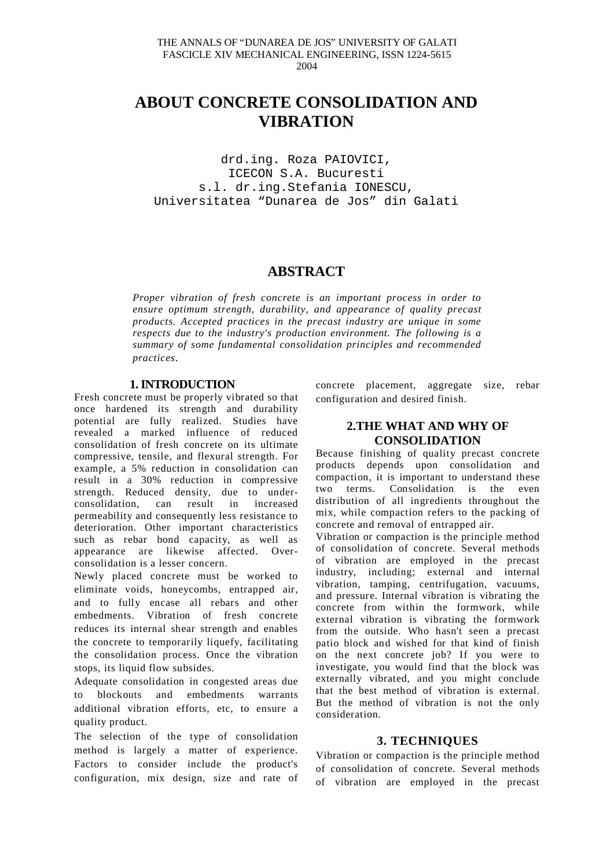# **ABOUT CONCRETE CONSOLIDATION AND VIBRATION**

drd.ing. Roza PAIOVICI, ICECON S.A. Bucuresti s.l. dr.ing.Stefania IONESCU, Universitatea "Dunarea de Jos" din Galati

# **ABSTRACT**

*Proper vibration of fresh concrete is an important process in order to ensure optimum strength, durability, and appearance of quality precast products. Accepted practices in the precast industry are unique in some respects due to the industry's production environment. The following is a summary of some fundamental consolidation principles and recommended practices*.

## **1. INTRODUCTION**

Fresh concrete must be properly vibrated so that once hardened its strength and durability potential are fully realized. Studies have revealed a marked influence of reduced consolidation of fresh concrete on its ultimate compressive, tensile, and flexural strength. For example, a 5% reduction in consolidation can result in a 30% reduction in compressive strength. Reduced density, due to under-<br>consolidation, can result in increased consolidation, can result in increased permeability and consequently less resistance to deterioration. Other important characteristics such as rebar bond capacity, as well as appearance are likewise affected. Overconsolidation is a lesser concern.

Newly placed concrete must be worked to eliminate voids, honeycombs, entrapped air, and to fully encase all rebars and other embedments. Vibration of fresh concrete reduces its internal shear strength and enables the concrete to temporarily liquefy, facilitating the consolidation process. Once the vibration stops, its liquid flow subsides.

Adequate consolidation in congested areas due to blockouts and embedments warrants additional vibration efforts, etc, to ensure a quality product.

The selection of the type of consolidation method is largely a matter of experience. Factors to consider include the product's configuration, mix design, size and rate of concrete placement, aggregate size, rebar configuration and desired finish.

# **2.THE WHAT AND WHY OF CONSOLIDATION**

Because finishing of quality precast concrete products depends upon consolidation and compaction, it is important to understand these two terms. Consolidation is the even distribution of all ingredients throughout the mix, while compaction refers to the packing of concrete and removal of entrapped air.

Vibration or compaction is the principle method of consolidation of concrete. Several methods of vibration are employed in the precast industry, including; external and internal vibration, tamping, centrifugation, vacuums, and pressure. Internal vibration is vibrating the concrete from within the formwork, while external vibration is vibrating the formwork from the outside. Who hasn't seen a precast patio block and wished for that kind of finish on the next concrete job? If you were to investigate, you would find that the block was externally vibrated, and you might conclude that the best method of vibration is external. But the method of vibration is not the only consideration.

# **3. TECHNIQUES**

Vibration or compaction is the principle method of consolidation of concrete. Several methods of vibration are employed in the precast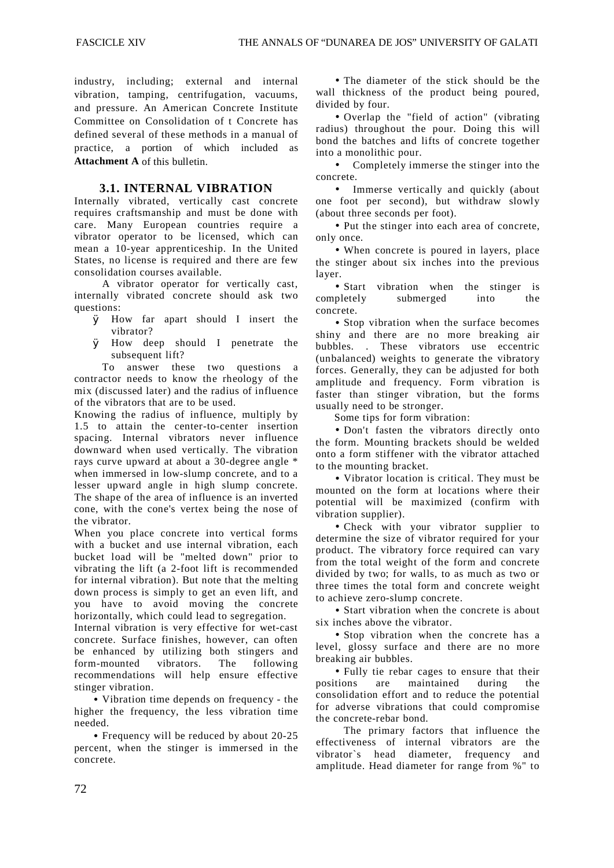industry, including; external and internal vibration, tamping, centrifugation, vacuums, and pressure. An American Concrete Institute Committee on Consolidation of t Concrete has defined several of these methods in a manual of practice, a portion of which included as **Attachment A** of this bulletin.

#### **3.1. INTERNAL VIBRATION**

Internally vibrated, vertically cast concrete requires craftsmanship and must be done with care. Many European countries require a vibrator operator to be licensed, which can mean a 10-year apprenticeship. In the United States, no license is required and there are few consolidation courses available.

A vibrator operator for vertically cast, internally vibrated concrete should ask two questions:

- Ø How far apart should I insert the vibrator?
- Ø How deep should I penetrate the subsequent lift?

To answer these two questions a contractor needs to know the rheology of the mix (discussed later) and the radius of influence of the vibrators that are to be used.

Knowing the radius of influence, multiply by 1.5 to attain the center-to-center insertion spacing. Internal vibrators never influence downward when used vertically. The vibration rays curve upward at about a 30-degree angle \* when immersed in low-slump concrete, and to a lesser upward angle in high slump concrete. The shape of the area of influence is an inverted cone, with the cone's vertex being the nose of the vibrator.

When you place concrete into vertical forms with a bucket and use internal vibration, each bucket load will be "melted down" prior to vibrating the lift (a 2-foot lift is recommended for internal vibration). But note that the melting down process is simply to get an even lift, and you have to avoid moving the concrete horizontally, which could lead to segregation.

Internal vibration is very effective for wet-cast concrete. Surface finishes, however, can often be enhanced by utilizing both stingers and form-mounted vibrators. The following recommendations will help ensure effective stinger vibration.

• Vibration time depends on frequency - the higher the frequency, the less vibration time needed.

• Frequency will be reduced by about 20-25 percent, when the stinger is immersed in the concrete.

• The diameter of the stick should be the wall thickness of the product being poured, divided by four.

• Overlap the "field of action" (vibrating radius) throughout the pour. Doing this will bond the batches and lifts of concrete together into a monolithic pour.

• Completely immerse the stinger into the concrete.

• Immerse vertically and quickly (about one foot per second), but withdraw slowly (about three seconds per foot).

• Put the stinger into each area of concrete, only once.

• When concrete is poured in layers, place the stinger about six inches into the previous layer.

• Start vibration when the stinger is completely submerged into the concrete.

• Stop vibration when the surface becomes shiny and there are no more breaking air bubbles. . These vibrators use eccentric (unbalanced) weights to generate the vibratory forces. Generally, they can be adjusted for both amplitude and frequency. Form vibration is faster than stinger vibration, but the forms usually need to be stronger.

Some tips for form vibration:

• Don't fasten the vibrators directly onto the form. Mounting brackets should be welded onto a form stiffener with the vibrator attached to the mounting bracket.

• Vibrator location is critical. They must be mounted on the form at locations where their potential will be maximized (confirm with vibration supplier).

• Check with your vibrator supplier to determine the size of vibrator required for your product. The vibratory force required can vary from the total weight of the form and concrete divided by two; for walls, to as much as two or three times the total form and concrete weight to achieve zero-slump concrete.

• Start vibration when the concrete is about six inches above the vibrator.

• Stop vibration when the concrete has a level, glossy surface and there are no more breaking air bubbles.

• Fully tie rebar cages to ensure that their positions are maintained during the consolidation effort and to reduce the potential for adverse vibrations that could compromise the concrete-rebar bond.

The primary factors that influence the effectiveness of internal vibrators are the vibrator`s head diameter, frequency and amplitude. Head diameter for range from %" to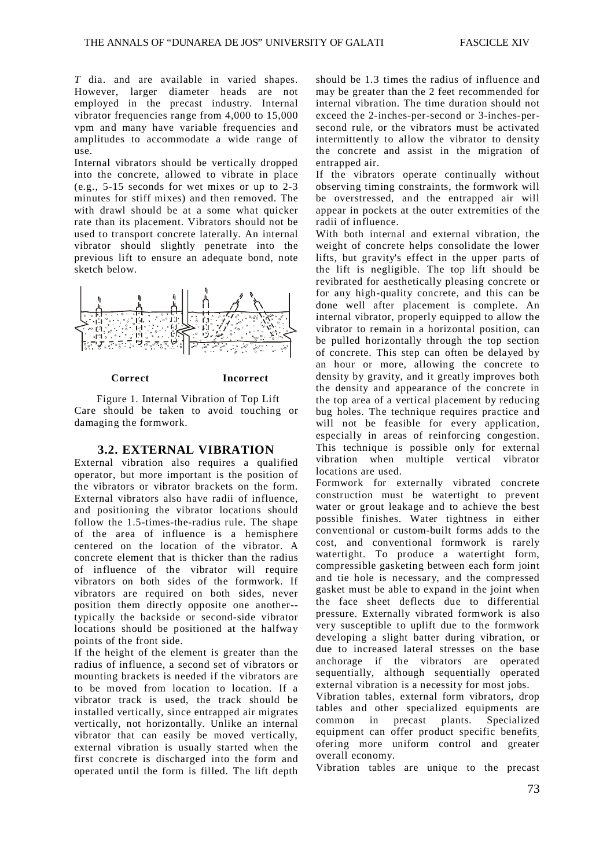*T* dia. and are available in varied shapes. However, larger diameter heads are not employed in the precast industry. Internal vibrator frequencies range from 4,000 to 15,000 vpm and many have variable frequencies and amplitudes to accommodate a wide range of use.

Internal vibrators should be vertically dropped into the concrete, allowed to vibrate in place (e.g., 5-15 seconds for wet mixes or up to 2-3 minutes for stiff mixes) and then removed. The with drawl should be at a some what quicker rate than its placement. Vibrators should not be used to transport concrete laterally. An internal vibrator should slightly penetrate into the previous lift to ensure an adequate bond, note sketch below.



#### **Correct Incorrect**

Figure 1. Internal Vibration of Top Lift Care should be taken to avoid touching or damaging the formwork.

## **3.2. EXTERNAL VIBRATION**

External vibration also requires a qualified operator, but more important is the position of the vibrators or vibrator brackets on the form. External vibrators also have radii of influence, and positioning the vibrator locations should follow the 1.5-times-the-radius rule. The shape of the area of influence is a hemisphere centered on the location of the vibrator. A concrete element that is thicker than the radius of influence of the vibrator will require vibrators on both sides of the formwork. If vibrators are required on both sides, never position them directly opposite one another- typically the backside or second-side vibrator locations should be positioned at the halfway points of the front side.

If the height of the element is greater than the radius of influence, a second set of vibrators or mounting brackets is needed if the vibrators are to be moved from location to location. If a vibrator track is used, the track should be installed vertically, since entrapped air migrates vertically, not horizontally. Unlike an internal vibrator that can easily be moved vertically, external vibration is usually started when the first concrete is discharged into the form and operated until the form is filled. The lift depth should be 1.3 times the radius of influence and may be greater than the 2 feet recommended for internal vibration. The time duration should not exceed the 2-inches-per-second or 3-inches-persecond rule, or the vibrators must be activated intermittently to allow the vibrator to density the concrete and assist in the migration of entrapped air.

If the vibrators operate continually without observing timing constraints, the formwork will be overstressed, and the entrapped air will appear in pockets at the outer extremities of the radii of influence.

With both internal and external vibration, the weight of concrete helps consolidate the lower lifts, but gravity's effect in the upper parts of the lift is negligible. The top lift should be revibrated for aesthetically pleasing concrete or for any high-quality concrete, and this can be done well after placement is complete. An internal vibrator, properly equipped to allow the vibrator to remain in a horizontal position, can be pulled horizontally through the top section of concrete. This step can often be delayed by an hour or more, allowing the concrete to density by gravity, and it greatly improves both the density and appearance of the concrete in the top area of a vertical placement by reducing bug holes. The technique requires practice and will not be feasible for every application, especially in areas of reinforcing congestion. This technique is possible only for external vibration when multiple vertical vibrator locations are used.

Formwork for externally vibrated concrete construction must be watertight to prevent water or grout leakage and to achieve the best possible finishes. Water tightness in either conventional or custom-built forms adds to the cost, and conventional formwork is rarely watertight. To produce a watertight form, compressible gasketing between each form joint and tie hole is necessary, and the compressed gasket must be able to expand in the joint when the face sheet deflects due to differential pressure. Externally vibrated formwork is also very susceptible to uplift due to the formwork developing a slight batter during vibration, or due to increased lateral stresses on the base anchorage if the vibrators are operated sequentially, although sequentially operated external vibration is a necessity for most jobs.

Vibration tables, external form vibrators, drop tables and other specialized equipments are common in precast plants. Specialized equipment can offer product specific benefits ofering more uniform control and greater overall economy.

Vibration tables are unique to the precast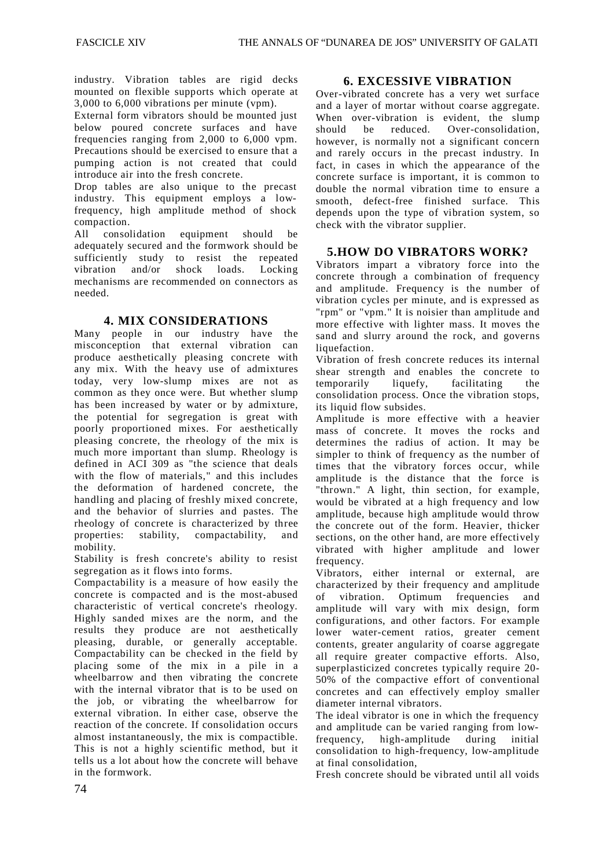industry. Vibration tables are rigid decks mounted on flexible supports which operate at 3,000 to 6,000 vibrations per minute (vpm).

External form vibrators should be mounted just below poured concrete surfaces and have frequencies ranging from 2,000 to 6,000 vpm. Precautions should be exercised to ensure that a pumping action is not created that could introduce air into the fresh concrete.

Drop tables are also unique to the precast industry. This equipment employs a lowfrequency, high amplitude method of shock compaction.

All consolidation equipment should be adequately secured and the formwork should be sufficiently study to resist the repeated vibration and/or shock loads. Locking mechanisms are recommended on connectors as needed.

# **4. MIX CONSIDERATIONS**

Many people in our industry have the misconception that external vibration can produce aesthetically pleasing concrete with any mix. With the heavy use of admixtures today, very low-slump mixes are not as common as they once were. But whether slump has been increased by water or by admixture, the potential for segregation is great with poorly proportioned mixes. For aesthetically pleasing concrete, the rheology of the mix is much more important than slump. Rheology is defined in ACI 309 as "the science that deals with the flow of materials," and this includes the deformation of hardened concrete, the handling and placing of freshly mixed concrete, and the behavior of slurries and pastes. The rheology of concrete is characterized by three properties: stability, compactability, and mobility.

Stability is fresh concrete's ability to resist segregation as it flows into forms.

Compactability is a measure of how easily the concrete is compacted and is the most-abused characteristic of vertical concrete's rheology. Highly sanded mixes are the norm, and the results they produce are not aesthetically pleasing, durable, or generally acceptable. Compactability can be checked in the field by placing some of the mix in a pile in a wheelbarrow and then vibrating the concrete with the internal vibrator that is to be used on the job, or vibrating the wheelbarrow for external vibration. In either case, observe the reaction of the concrete. If consolidation occurs almost instantaneously, the mix is compactible. This is not a highly scientific method, but it tells us a lot about how the concrete will behave in the formwork.

## **6. EXCESSIVE VIBRATION**

Over-vibrated concrete has a very wet surface and a layer of mortar without coarse aggregate. When over-vibration is evident, the slump should be reduced. Over-consolidation, however, is normally not a significant concern and rarely occurs in the precast industry. In fact, in cases in which the appearance of the concrete surface is important, it is common to double the normal vibration time to ensure a smooth, defect-free finished surface. This depends upon the type of vibration system, so check with the vibrator supplier.

## **5.HOW DO VIBRATORS WORK?**

Vibrators impart a vibratory force into the concrete through a combination of frequency and amplitude. Frequency is the number of vibration cycles per minute, and is expressed as "rpm" or "vpm." It is noisier than amplitude and more effective with lighter mass. It moves the sand and slurry around the rock, and governs liquefaction.

Vibration of fresh concrete reduces its internal shear strength and enables the concrete to temporarily liquefy, facilitating the consolidation process. Once the vibration stops, its liquid flow subsides.

Amplitude is more effective with a heavier mass of concrete. It moves the rocks and determines the radius of action. It may be simpler to think of frequency as the number of times that the vibratory forces occur, while amplitude is the distance that the force is "thrown." A light, thin section, for example, would be vibrated at a high frequency and low amplitude, because high amplitude would throw the concrete out of the form. Heavier, thicker sections, on the other hand, are more effectively vibrated with higher amplitude and lower frequency.

Vibrators, either internal or external, are characterized by their frequency and amplitude of vibration. Optimum frequencies and amplitude will vary with mix design, form configurations, and other factors. For example lower water-cement ratios, greater cement contents, greater angularity of coarse aggregate all require greater compactive efforts. Also, superplasticized concretes typically require 20- 50% of the compactive effort of conventional concretes and can effectively employ smaller diameter internal vibrators.

The ideal vibrator is one in which the frequency and amplitude can be varied ranging from lowfrequency, high-amplitude during initial consolidation to high-frequency, low-amplitude at final consolidation,

Fresh concrete should be vibrated until all voids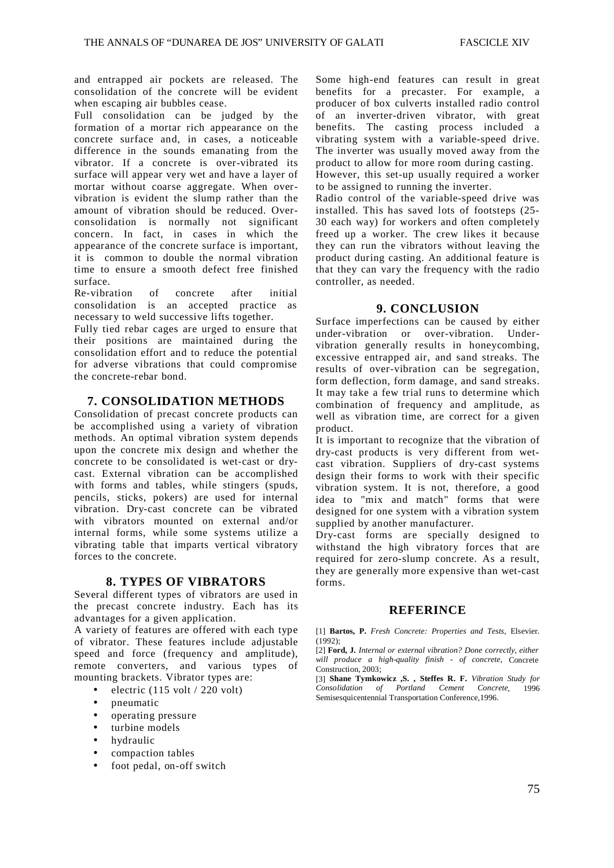and entrapped air pockets are released. The consolidation of the concrete will be evident when escaping air bubbles cease.

Full consolidation can be judged by the formation of a mortar rich appearance on the concrete surface and, in cases, a noticeable difference in the sounds emanating from the vibrator. If a concrete is over-vibrated its surface will appear very wet and have a layer of mortar without coarse aggregate. When overvibration is evident the slump rather than the amount of vibration should be reduced. Overconsolidation is normally not significant concern. In fact, in cases in which the appearance of the concrete surface is important, it is common to double the normal vibration time to ensure a smooth defect free finished surface.

Re-vibration of concrete after initial consolidation is an accepted practice as necessary to weld successive lifts together.

Fully tied rebar cages are urged to ensure that their positions are maintained during the consolidation effort and to reduce the potential for adverse vibrations that could compromise the concrete-rebar bond.

#### **7. CONSOLIDATION METHODS**

Consolidation of precast concrete products can be accomplished using a variety of vibration methods. An optimal vibration system depends upon the concrete mix design and whether the concrete to be consolidated is wet-cast or drycast. External vibration can be accomplished with forms and tables, while stingers (spuds, pencils, sticks, pokers) are used for internal vibration. Dry-cast concrete can be vibrated with vibrators mounted on external and/or internal forms, while some systems utilize a vibrating table that imparts vertical vibratory forces to the concrete.

#### **8. TYPES OF VIBRATORS**

Several different types of vibrators are used in the precast concrete industry. Each has its advantages for a given application.

A variety of features are offered with each type of vibrator. These features include adjustable speed and force (frequency and amplitude), remote converters, and various types of mounting brackets. Vibrator types are:

- electric  $(115 \text{ volt} / 220 \text{ volt})$
- pneumatic
- operating pressure
- turbine models
- hydraulic
- compaction tables
- foot pedal, on-off switch

Some high-end features can result in great benefits for a precaster. For example, a producer of box culverts installed radio control of an inverter-driven vibrator, with great benefits. The casting process included a vibrating system with a variable-speed drive. The inverter was usually moved away from the product to allow for more room during casting. However, this set-up usually required a worker to be assigned to running the inverter.

Radio control of the variable-speed drive was installed. This has saved lots of footsteps (25- 30 each way) for workers and often completely freed up a worker. The crew likes it because they can run the vibrators without leaving the product during casting. An additional feature is that they can vary the frequency with the radio controller, as needed.

#### **9. CONCLUSION**

Surface imperfections can be caused by either under-vibration or over-vibration. Undervibration generally results in honeycombing, excessive entrapped air, and sand streaks. The results of over-vibration can be segregation, form deflection, form damage, and sand streaks. It may take a few trial runs to determine which combination of frequency and amplitude, as well as vibration time, are correct for a given product.

It is important to recognize that the vibration of dry-cast products is very different from wetcast vibration. Suppliers of dry-cast systems design their forms to work with their specific vibration system. It is not, therefore, a good idea to "mix and match" forms that were designed for one system with a vibration system supplied by another manufacturer.

Dry-cast forms are specially designed to withstand the high vibratory forces that are required for zero-slump concrete. As a result, they are generally more expensive than wet-cast forms.

#### **REFERINCE**

[1] **Bartos, P.** *Fresh Concrete: Properties and Tests,* Elsevier.  $(1992)$ ;

[2] **Ford, J.** *Internal or external vibration? Done correctly, either will produce a high-quality finish - of concrete,* Concrete Construction, 2003;

[3] **Shane Tymkowicz ,S. , Steffes R. F.** *Vibration Study for Consolidation of Portland Cement Concrete*, 1996 Semisesquicentennial Transportation Conference,1996.